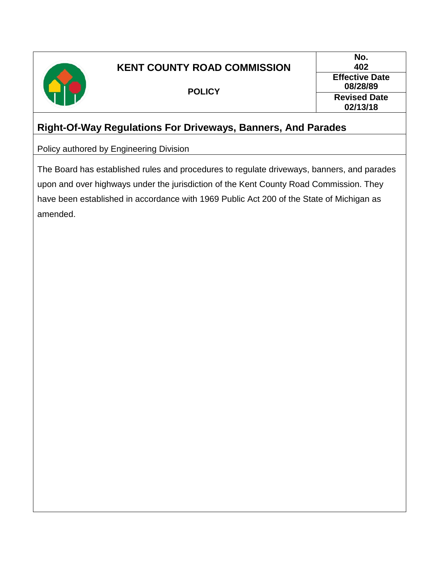

# **KENT COUNTY ROAD COMMISSION**

**POLICY**

**No. 402 Effective Date 08/28/89 Revised Date 02/13/18**

## **Right-Of-Way Regulations For Driveways, Banners, And Parades**

Policy authored by Engineering Division

The Board has established rules and procedures to regulate driveways, banners, and parades upon and over highways under the jurisdiction of the Kent County Road Commission. They have been established in accordance with 1969 Public Act 200 of the State of Michigan as amended.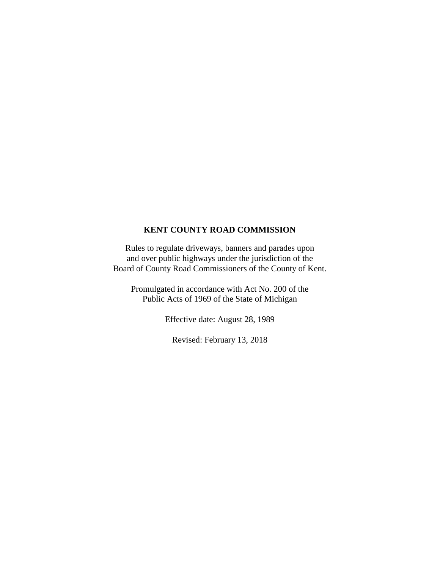#### **KENT COUNTY ROAD COMMISSION**

Rules to regulate driveways, banners and parades upon and over public highways under the jurisdiction of the Board of County Road Commissioners of the County of Kent.

Promulgated in accordance with Act No. 200 of the Public Acts of 1969 of the State of Michigan

Effective date: August 28, 1989

Revised: February 13, 2018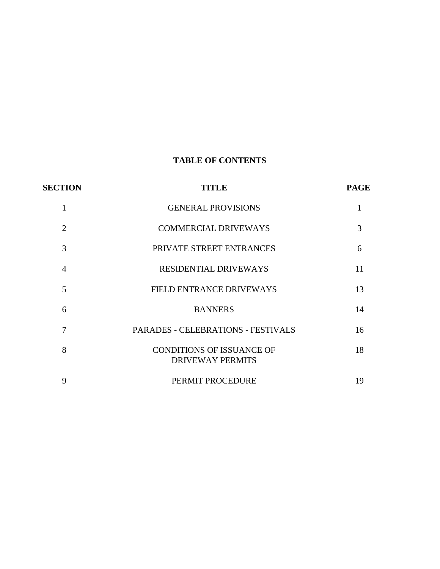### **TABLE OF CONTENTS**

| <b>SECTION</b> | TITLE                                                       | <b>PAGE</b> |
|----------------|-------------------------------------------------------------|-------------|
| $\mathbf{1}$   | <b>GENERAL PROVISIONS</b>                                   |             |
| $\overline{2}$ | <b>COMMERCIAL DRIVEWAYS</b>                                 | 3           |
| 3              | PRIVATE STREET ENTRANCES                                    | 6           |
| $\overline{4}$ | <b>RESIDENTIAL DRIVEWAYS</b>                                | 11          |
| 5              | FIELD ENTRANCE DRIVEWAYS                                    | 13          |
| 6              | <b>BANNERS</b>                                              | 14          |
| 7              | <b>PARADES - CELEBRATIONS - FESTIVALS</b>                   | 16          |
| 8              | <b>CONDITIONS OF ISSUANCE OF</b><br><b>DRIVEWAY PERMITS</b> | 18          |
| 9              | PERMIT PROCEDURE                                            | 19          |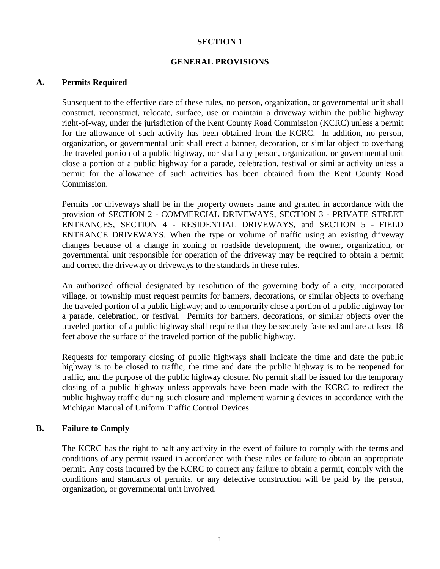#### **GENERAL PROVISIONS**

#### **A. Permits Required**

Subsequent to the effective date of these rules, no person, organization, or governmental unit shall construct, reconstruct, relocate, surface, use or maintain a driveway within the public highway right-of-way, under the jurisdiction of the Kent County Road Commission (KCRC) unless a permit for the allowance of such activity has been obtained from the KCRC. In addition, no person, organization, or governmental unit shall erect a banner, decoration, or similar object to overhang the traveled portion of a public highway, nor shall any person, organization, or governmental unit close a portion of a public highway for a parade, celebration, festival or similar activity unless a permit for the allowance of such activities has been obtained from the Kent County Road Commission.

Permits for driveways shall be in the property owners name and granted in accordance with the provision of SECTION 2 - COMMERCIAL DRIVEWAYS, SECTION 3 - PRIVATE STREET ENTRANCES, SECTION 4 - RESIDENTIAL DRIVEWAYS, and SECTION 5 - FIELD ENTRANCE DRIVEWAYS. When the type or volume of traffic using an existing driveway changes because of a change in zoning or roadside development, the owner, organization, or governmental unit responsible for operation of the driveway may be required to obtain a permit and correct the driveway or driveways to the standards in these rules.

An authorized official designated by resolution of the governing body of a city, incorporated village, or township must request permits for banners, decorations, or similar objects to overhang the traveled portion of a public highway; and to temporarily close a portion of a public highway for a parade, celebration, or festival. Permits for banners, decorations, or similar objects over the traveled portion of a public highway shall require that they be securely fastened and are at least 18 feet above the surface of the traveled portion of the public highway.

Requests for temporary closing of public highways shall indicate the time and date the public highway is to be closed to traffic, the time and date the public highway is to be reopened for traffic, and the purpose of the public highway closure. No permit shall be issued for the temporary closing of a public highway unless approvals have been made with the KCRC to redirect the public highway traffic during such closure and implement warning devices in accordance with the Michigan Manual of Uniform Traffic Control Devices.

#### **B. Failure to Comply**

The KCRC has the right to halt any activity in the event of failure to comply with the terms and conditions of any permit issued in accordance with these rules or failure to obtain an appropriate permit. Any costs incurred by the KCRC to correct any failure to obtain a permit, comply with the conditions and standards of permits, or any defective construction will be paid by the person, organization, or governmental unit involved.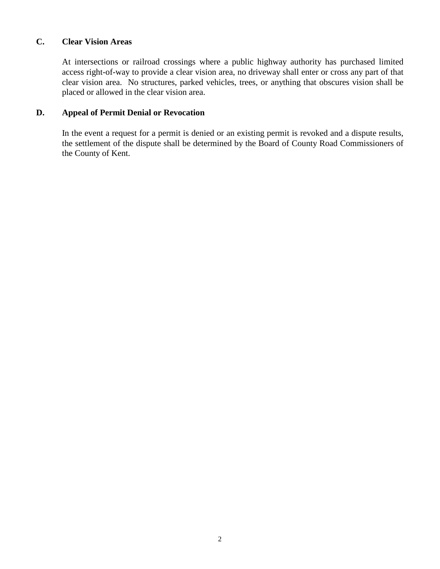#### **C. Clear Vision Areas**

At intersections or railroad crossings where a public highway authority has purchased limited access right-of-way to provide a clear vision area, no driveway shall enter or cross any part of that clear vision area. No structures, parked vehicles, trees, or anything that obscures vision shall be placed or allowed in the clear vision area.

#### **D. Appeal of Permit Denial or Revocation**

In the event a request for a permit is denied or an existing permit is revoked and a dispute results, the settlement of the dispute shall be determined by the Board of County Road Commissioners of the County of Kent.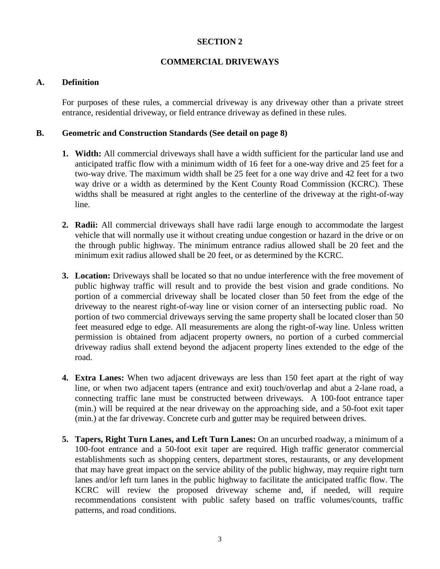#### **COMMERCIAL DRIVEWAYS**

#### **A. Definition**

For purposes of these rules, a commercial driveway is any driveway other than a private street entrance, residential driveway, or field entrance driveway as defined in these rules.

#### **B. Geometric and Construction Standards (See detail on page 8)**

- **1. Width:** All commercial driveways shall have a width sufficient for the particular land use and anticipated traffic flow with a minimum width of 16 feet for a one-way drive and 25 feet for a two-way drive. The maximum width shall be 25 feet for a one way drive and 42 feet for a two way drive or a width as determined by the Kent County Road Commission (KCRC). These widths shall be measured at right angles to the centerline of the driveway at the right-of-way line.
- **2. Radii:** All commercial driveways shall have radii large enough to accommodate the largest vehicle that will normally use it without creating undue congestion or hazard in the drive or on the through public highway. The minimum entrance radius allowed shall be 20 feet and the minimum exit radius allowed shall be 20 feet, or as determined by the KCRC.
- **3. Location:** Driveways shall be located so that no undue interference with the free movement of public highway traffic will result and to provide the best vision and grade conditions. No portion of a commercial driveway shall be located closer than 50 feet from the edge of the driveway to the nearest right-of-way line or vision corner of an intersecting public road. No portion of two commercial driveways serving the same property shall be located closer than 50 feet measured edge to edge. All measurements are along the right-of-way line. Unless written permission is obtained from adjacent property owners, no portion of a curbed commercial driveway radius shall extend beyond the adjacent property lines extended to the edge of the road.
- **4. Extra Lanes:** When two adjacent driveways are less than 150 feet apart at the right of way line, or when two adjacent tapers (entrance and exit) touch/overlap and abut a 2-lane road, a connecting traffic lane must be constructed between driveways. A 100-foot entrance taper (min.) will be required at the near driveway on the approaching side, and a 50-foot exit taper (min.) at the far driveway. Concrete curb and gutter may be required between drives.
- **5. Tapers, Right Turn Lanes, and Left Turn Lanes:** On an uncurbed roadway, a minimum of a 100-foot entrance and a 50-foot exit taper are required. High traffic generator commercial establishments such as shopping centers, department stores, restaurants, or any development that may have great impact on the service ability of the public highway, may require right turn lanes and/or left turn lanes in the public highway to facilitate the anticipated traffic flow. The KCRC will review the proposed driveway scheme and, if needed, will require recommendations consistent with public safety based on traffic volumes/counts, traffic patterns, and road conditions.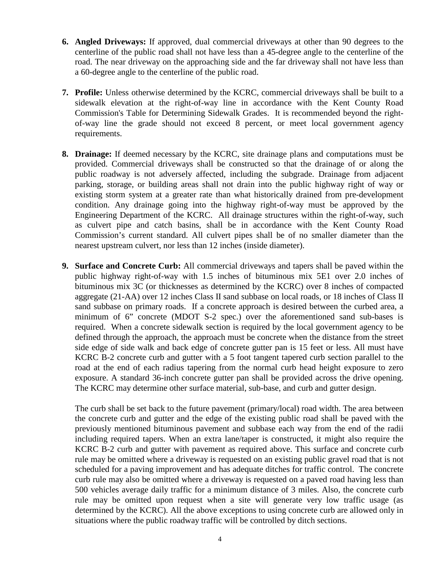- **6. Angled Driveways:** If approved, dual commercial driveways at other than 90 degrees to the centerline of the public road shall not have less than a 45-degree angle to the centerline of the road. The near driveway on the approaching side and the far driveway shall not have less than a 60-degree angle to the centerline of the public road.
- **7. Profile:** Unless otherwise determined by the KCRC, commercial driveways shall be built to a sidewalk elevation at the right-of-way line in accordance with the Kent County Road Commission's Table for Determining Sidewalk Grades. It is recommended beyond the rightof-way line the grade should not exceed 8 percent, or meet local government agency requirements.
- **8. Drainage:** If deemed necessary by the KCRC, site drainage plans and computations must be provided. Commercial driveways shall be constructed so that the drainage of or along the public roadway is not adversely affected, including the subgrade. Drainage from adjacent parking, storage, or building areas shall not drain into the public highway right of way or existing storm system at a greater rate than what historically drained from pre-development condition. Any drainage going into the highway right-of-way must be approved by the Engineering Department of the KCRC. All drainage structures within the right-of-way, such as culvert pipe and catch basins, shall be in accordance with the Kent County Road Commission's current standard. All culvert pipes shall be of no smaller diameter than the nearest upstream culvert, nor less than 12 inches (inside diameter).
- **9. Surface and Concrete Curb:** All commercial driveways and tapers shall be paved within the public highway right-of-way with 1.5 inches of bituminous mix 5E1 over 2.0 inches of bituminous mix 3C (or thicknesses as determined by the KCRC) over 8 inches of compacted aggregate (21-AA) over 12 inches Class II sand subbase on local roads, or 18 inches of Class II sand subbase on primary roads. If a concrete approach is desired between the curbed area, a minimum of 6" concrete (MDOT S-2 spec.) over the aforementioned sand sub-bases is required. When a concrete sidewalk section is required by the local government agency to be defined through the approach, the approach must be concrete when the distance from the street side edge of side walk and back edge of concrete gutter pan is 15 feet or less. All must have KCRC B-2 concrete curb and gutter with a 5 foot tangent tapered curb section parallel to the road at the end of each radius tapering from the normal curb head height exposure to zero exposure. A standard 36-inch concrete gutter pan shall be provided across the drive opening. The KCRC may determine other surface material, sub-base, and curb and gutter design.

The curb shall be set back to the future pavement (primary/local) road width. The area between the concrete curb and gutter and the edge of the existing public road shall be paved with the previously mentioned bituminous pavement and subbase each way from the end of the radii including required tapers. When an extra lane/taper is constructed, it might also require the KCRC B-2 curb and gutter with pavement as required above. This surface and concrete curb rule may be omitted where a driveway is requested on an existing public gravel road that is not scheduled for a paving improvement and has adequate ditches for traffic control. The concrete curb rule may also be omitted where a driveway is requested on a paved road having less than 500 vehicles average daily traffic for a minimum distance of 3 miles. Also, the concrete curb rule may be omitted upon request when a site will generate very low traffic usage (as determined by the KCRC). All the above exceptions to using concrete curb are allowed only in situations where the public roadway traffic will be controlled by ditch sections.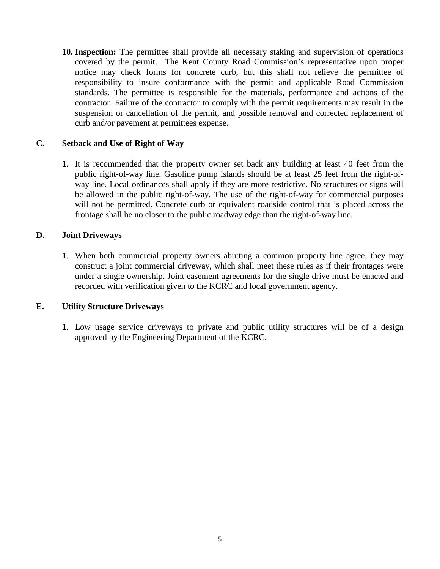**10. Inspection:** The permittee shall provide all necessary staking and supervision of operations covered by the permit. The Kent County Road Commission's representative upon proper notice may check forms for concrete curb, but this shall not relieve the permittee of responsibility to insure conformance with the permit and applicable Road Commission standards. The permittee is responsible for the materials, performance and actions of the contractor. Failure of the contractor to comply with the permit requirements may result in the suspension or cancellation of the permit, and possible removal and corrected replacement of curb and/or pavement at permittees expense.

#### **C. Setback and Use of Right of Way**

**1**. It is recommended that the property owner set back any building at least 40 feet from the public right-of-way line. Gasoline pump islands should be at least 25 feet from the right-ofway line. Local ordinances shall apply if they are more restrictive. No structures or signs will be allowed in the public right-of-way. The use of the right-of-way for commercial purposes will not be permitted. Concrete curb or equivalent roadside control that is placed across the frontage shall be no closer to the public roadway edge than the right-of-way line.

#### **D. Joint Driveways**

**1**. When both commercial property owners abutting a common property line agree, they may construct a joint commercial driveway, which shall meet these rules as if their frontages were under a single ownership. Joint easement agreements for the single drive must be enacted and recorded with verification given to the KCRC and local government agency.

#### **E. Utility Structure Driveways**

**1**. Low usage service driveways to private and public utility structures will be of a design approved by the Engineering Department of the KCRC.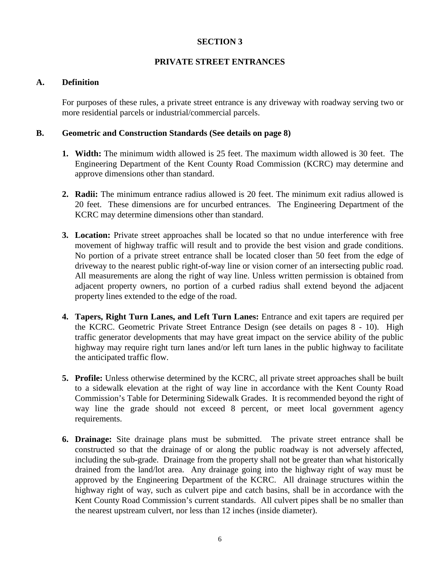#### **PRIVATE STREET ENTRANCES**

#### **A. Definition**

For purposes of these rules, a private street entrance is any driveway with roadway serving two or more residential parcels or industrial/commercial parcels.

#### **B. Geometric and Construction Standards (See details on page 8)**

- **1. Width:** The minimum width allowed is 25 feet. The maximum width allowed is 30 feet. The Engineering Department of the Kent County Road Commission (KCRC) may determine and approve dimensions other than standard.
- **2. Radii:** The minimum entrance radius allowed is 20 feet. The minimum exit radius allowed is 20 feet. These dimensions are for uncurbed entrances. The Engineering Department of the KCRC may determine dimensions other than standard.
- **3. Location:** Private street approaches shall be located so that no undue interference with free movement of highway traffic will result and to provide the best vision and grade conditions. No portion of a private street entrance shall be located closer than 50 feet from the edge of driveway to the nearest public right-of-way line or vision corner of an intersecting public road. All measurements are along the right of way line. Unless written permission is obtained from adjacent property owners, no portion of a curbed radius shall extend beyond the adjacent property lines extended to the edge of the road.
- **4. Tapers, Right Turn Lanes, and Left Turn Lanes:** Entrance and exit tapers are required per the KCRC. Geometric Private Street Entrance Design (see details on pages 8 - 10). High traffic generator developments that may have great impact on the service ability of the public highway may require right turn lanes and/or left turn lanes in the public highway to facilitate the anticipated traffic flow.
- **5. Profile:** Unless otherwise determined by the KCRC, all private street approaches shall be built to a sidewalk elevation at the right of way line in accordance with the Kent County Road Commission's Table for Determining Sidewalk Grades. It is recommended beyond the right of way line the grade should not exceed 8 percent, or meet local government agency requirements.
- **6. Drainage:** Site drainage plans must be submitted. The private street entrance shall be constructed so that the drainage of or along the public roadway is not adversely affected, including the sub-grade. Drainage from the property shall not be greater than what historically drained from the land/lot area. Any drainage going into the highway right of way must be approved by the Engineering Department of the KCRC. All drainage structures within the highway right of way, such as culvert pipe and catch basins, shall be in accordance with the Kent County Road Commission's current standards. All culvert pipes shall be no smaller than the nearest upstream culvert, nor less than 12 inches (inside diameter).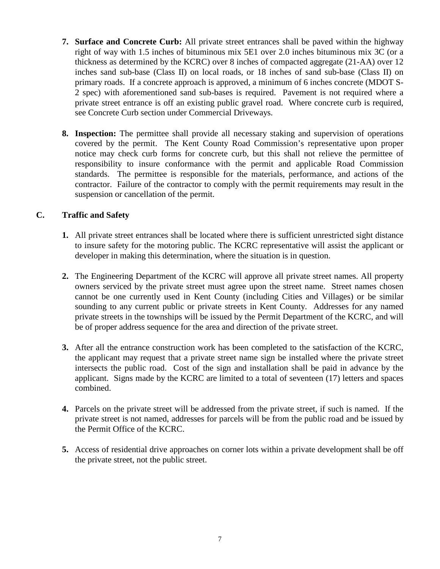- **7. Surface and Concrete Curb:** All private street entrances shall be paved within the highway right of way with 1.5 inches of bituminous mix 5E1 over 2.0 inches bituminous mix 3C (or a thickness as determined by the KCRC) over 8 inches of compacted aggregate (21-AA) over 12 inches sand sub-base (Class II) on local roads, or 18 inches of sand sub-base (Class II) on primary roads. If a concrete approach is approved, a minimum of 6 inches concrete (MDOT S-2 spec) with aforementioned sand sub-bases is required. Pavement is not required where a private street entrance is off an existing public gravel road. Where concrete curb is required, see Concrete Curb section under Commercial Driveways.
- **8. Inspection:** The permittee shall provide all necessary staking and supervision of operations covered by the permit. The Kent County Road Commission's representative upon proper notice may check curb forms for concrete curb, but this shall not relieve the permittee of responsibility to insure conformance with the permit and applicable Road Commission standards. The permittee is responsible for the materials, performance, and actions of the contractor. Failure of the contractor to comply with the permit requirements may result in the suspension or cancellation of the permit.

#### **C. Traffic and Safety**

- **1.** All private street entrances shall be located where there is sufficient unrestricted sight distance to insure safety for the motoring public. The KCRC representative will assist the applicant or developer in making this determination, where the situation is in question.
- **2.** The Engineering Department of the KCRC will approve all private street names. All property owners serviced by the private street must agree upon the street name. Street names chosen cannot be one currently used in Kent County (including Cities and Villages) or be similar sounding to any current public or private streets in Kent County. Addresses for any named private streets in the townships will be issued by the Permit Department of the KCRC, and will be of proper address sequence for the area and direction of the private street.
- **3.** After all the entrance construction work has been completed to the satisfaction of the KCRC, the applicant may request that a private street name sign be installed where the private street intersects the public road. Cost of the sign and installation shall be paid in advance by the applicant. Signs made by the KCRC are limited to a total of seventeen (17) letters and spaces combined.
- **4.** Parcels on the private street will be addressed from the private street, if such is named. If the private street is not named, addresses for parcels will be from the public road and be issued by the Permit Office of the KCRC.
- **5.** Access of residential drive approaches on corner lots within a private development shall be off the private street, not the public street.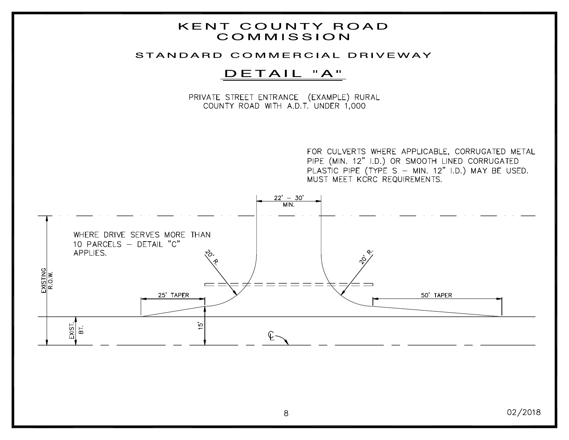### **KENT COUNTY ROAD** COMMISSION

#### STANDARD COMMERCIAL DRIVEWAY

## DETAIL "A"

PRIVATE STREET ENTRANCE (EXAMPLE) RURAL COUNTY ROAD WITH A.D.T. UNDER 1,000

> FOR CULVERTS WHERE APPLICABLE, CORRUGATED METAL PIPE (MIN. 12" I.D.) OR SMOOTH LINED CORRUGATED PLASTIC PIPE (TYPE S - MIN. 12" I.D.) MAY BE USED. MUST MEET KCRC REQUIREMENTS.

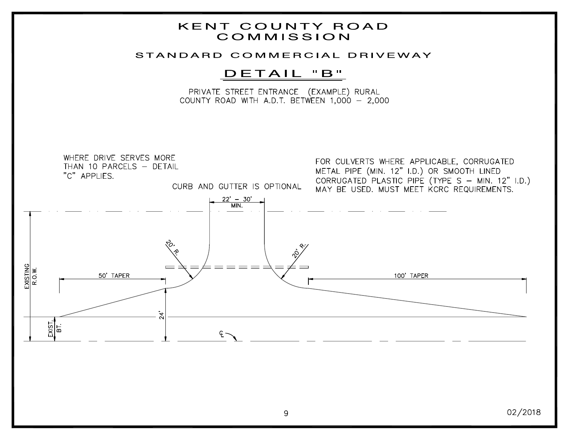### **KENT COUNTY ROAD** COMMISSION

#### STANDARD COMMERCIAL DRIVEWAY

## DETAIL "B"

PRIVATE STREET ENTRANCE (EXAMPLE) RURAL COUNTY ROAD WITH A.D.T. BETWEEN  $1,000 - 2,000$ 

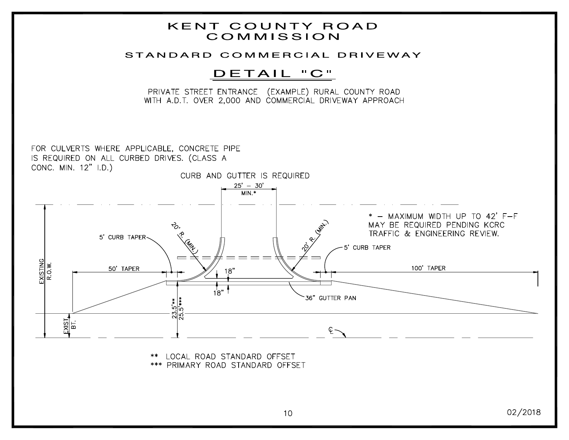## **KENT COUNTY ROAD** COMMISSION

#### STANDARD COMMERCIAL DRIVEWAY

## DETAIL "C"

PRIVATE STREET ENTRANCE (EXAMPLE) RURAL COUNTY ROAD WITH A.D.T. OVER 2,000 AND COMMERCIAL DRIVEWAY APPROACH

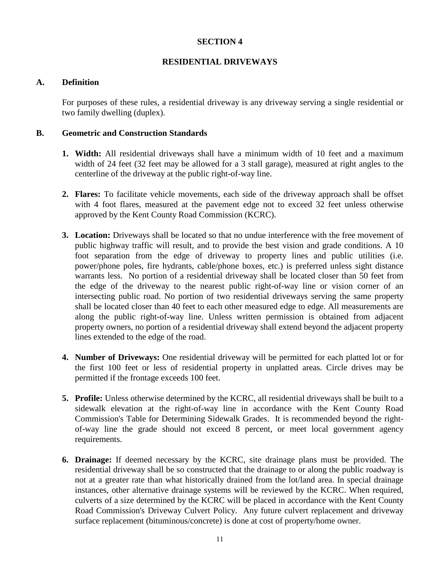#### **RESIDENTIAL DRIVEWAYS**

#### **A. Definition**

For purposes of these rules, a residential driveway is any driveway serving a single residential or two family dwelling (duplex).

#### **B. Geometric and Construction Standards**

- **1. Width:** All residential driveways shall have a minimum width of 10 feet and a maximum width of 24 feet (32 feet may be allowed for a 3 stall garage), measured at right angles to the centerline of the driveway at the public right-of-way line.
- **2. Flares:** To facilitate vehicle movements, each side of the driveway approach shall be offset with 4 foot flares, measured at the pavement edge not to exceed 32 feet unless otherwise approved by the Kent County Road Commission (KCRC).
- **3. Location:** Driveways shall be located so that no undue interference with the free movement of public highway traffic will result, and to provide the best vision and grade conditions. A 10 foot separation from the edge of driveway to property lines and public utilities (i.e. power/phone poles, fire hydrants, cable/phone boxes, etc.) is preferred unless sight distance warrants less. No portion of a residential driveway shall be located closer than 50 feet from the edge of the driveway to the nearest public right-of-way line or vision corner of an intersecting public road. No portion of two residential driveways serving the same property shall be located closer than 40 feet to each other measured edge to edge. All measurements are along the public right-of-way line. Unless written permission is obtained from adjacent property owners, no portion of a residential driveway shall extend beyond the adjacent property lines extended to the edge of the road.
- **4. Number of Driveways:** One residential driveway will be permitted for each platted lot or for the first 100 feet or less of residential property in unplatted areas. Circle drives may be permitted if the frontage exceeds 100 feet.
- **5. Profile:** Unless otherwise determined by the KCRC, all residential driveways shall be built to a sidewalk elevation at the right-of-way line in accordance with the Kent County Road Commission's Table for Determining Sidewalk Grades. It is recommended beyond the rightof-way line the grade should not exceed 8 percent, or meet local government agency requirements.
- **6. Drainage:** If deemed necessary by the KCRC, site drainage plans must be provided. The residential driveway shall be so constructed that the drainage to or along the public roadway is not at a greater rate than what historically drained from the lot/land area. In special drainage instances, other alternative drainage systems will be reviewed by the KCRC. When required, culverts of a size determined by the KCRC will be placed in accordance with the Kent County Road Commission's Driveway Culvert Policy. Any future culvert replacement and driveway surface replacement (bituminous/concrete) is done at cost of property/home owner.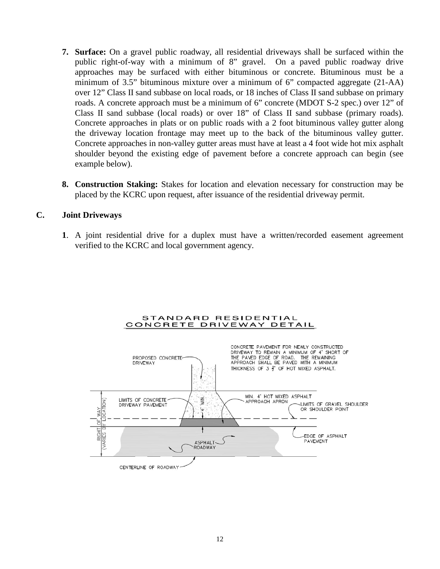- **7. Surface:** On a gravel public roadway, all residential driveways shall be surfaced within the public right-of-way with a minimum of 8" gravel. On a paved public roadway drive approaches may be surfaced with either bituminous or concrete. Bituminous must be a minimum of 3.5" bituminous mixture over a minimum of 6" compacted aggregate (21-AA) over 12" Class II sand subbase on local roads, or 18 inches of Class II sand subbase on primary roads. A concrete approach must be a minimum of 6" concrete (MDOT S-2 spec.) over 12" of Class II sand subbase (local roads) or over 18" of Class II sand subbase (primary roads). Concrete approaches in plats or on public roads with a 2 foot bituminous valley gutter along the driveway location frontage may meet up to the back of the bituminous valley gutter. Concrete approaches in non-valley gutter areas must have at least a 4 foot wide hot mix asphalt shoulder beyond the existing edge of pavement before a concrete approach can begin (see example below).
- **8. Construction Staking:** Stakes for location and elevation necessary for construction may be placed by the KCRC upon request, after issuance of the residential driveway permit.

#### **C. Joint Driveways**

**1**. A joint residential drive for a duplex must have a written/recorded easement agreement verified to the KCRC and local government agency.



STANDARD RESIDENTIAL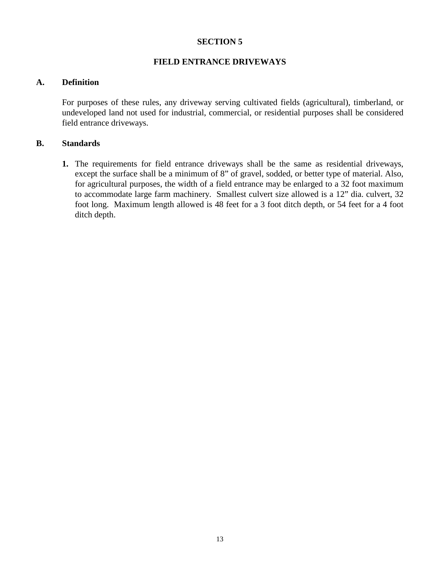#### **FIELD ENTRANCE DRIVEWAYS**

#### **A. Definition**

For purposes of these rules, any driveway serving cultivated fields (agricultural), timberland, or undeveloped land not used for industrial, commercial, or residential purposes shall be considered field entrance driveways.

#### **B. Standards**

**1.** The requirements for field entrance driveways shall be the same as residential driveways, except the surface shall be a minimum of 8" of gravel, sodded, or better type of material. Also, for agricultural purposes, the width of a field entrance may be enlarged to a 32 foot maximum to accommodate large farm machinery. Smallest culvert size allowed is a 12" dia. culvert, 32 foot long. Maximum length allowed is 48 feet for a 3 foot ditch depth, or 54 feet for a 4 foot ditch depth.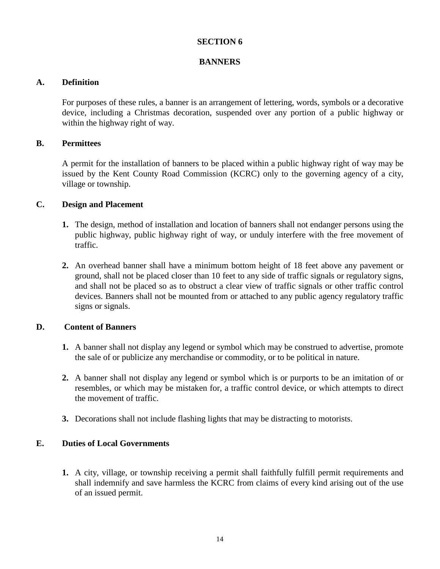#### **BANNERS**

#### **A. Definition**

For purposes of these rules, a banner is an arrangement of lettering, words, symbols or a decorative device, including a Christmas decoration, suspended over any portion of a public highway or within the highway right of way.

#### **B. Permittees**

A permit for the installation of banners to be placed within a public highway right of way may be issued by the Kent County Road Commission (KCRC) only to the governing agency of a city, village or township.

#### **C. Design and Placement**

- **1.** The design, method of installation and location of banners shall not endanger persons using the public highway, public highway right of way, or unduly interfere with the free movement of traffic.
- **2.** An overhead banner shall have a minimum bottom height of 18 feet above any pavement or ground, shall not be placed closer than 10 feet to any side of traffic signals or regulatory signs, and shall not be placed so as to obstruct a clear view of traffic signals or other traffic control devices. Banners shall not be mounted from or attached to any public agency regulatory traffic signs or signals.

#### **D. Content of Banners**

- **1.** A banner shall not display any legend or symbol which may be construed to advertise, promote the sale of or publicize any merchandise or commodity, or to be political in nature.
- **2.** A banner shall not display any legend or symbol which is or purports to be an imitation of or resembles, or which may be mistaken for, a traffic control device, or which attempts to direct the movement of traffic.
- **3.** Decorations shall not include flashing lights that may be distracting to motorists.

#### **E. Duties of Local Governments**

**1.** A city, village, or township receiving a permit shall faithfully fulfill permit requirements and shall indemnify and save harmless the KCRC from claims of every kind arising out of the use of an issued permit.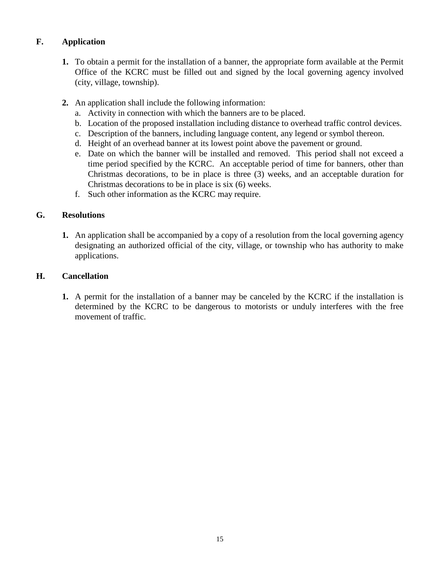### **F. Application**

- **1.** To obtain a permit for the installation of a banner, the appropriate form available at the Permit Office of the KCRC must be filled out and signed by the local governing agency involved (city, village, township).
- **2.** An application shall include the following information:
	- a. Activity in connection with which the banners are to be placed.
	- b. Location of the proposed installation including distance to overhead traffic control devices.
	- c. Description of the banners, including language content, any legend or symbol thereon.
	- d. Height of an overhead banner at its lowest point above the pavement or ground.
	- e. Date on which the banner will be installed and removed. This period shall not exceed a time period specified by the KCRC. An acceptable period of time for banners, other than Christmas decorations, to be in place is three (3) weeks, and an acceptable duration for Christmas decorations to be in place is six (6) weeks.
	- f. Such other information as the KCRC may require.

#### **G. Resolutions**

**1.** An application shall be accompanied by a copy of a resolution from the local governing agency designating an authorized official of the city, village, or township who has authority to make applications.

#### **H. Cancellation**

**1.** A permit for the installation of a banner may be canceled by the KCRC if the installation is determined by the KCRC to be dangerous to motorists or unduly interferes with the free movement of traffic.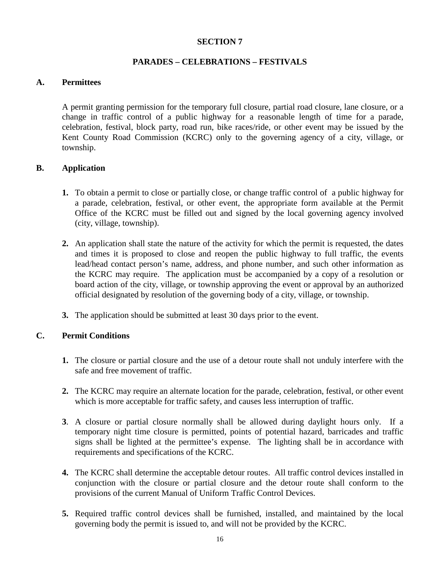#### **PARADES – CELEBRATIONS – FESTIVALS**

#### **A. Permittees**

A permit granting permission for the temporary full closure, partial road closure, lane closure, or a change in traffic control of a public highway for a reasonable length of time for a parade, celebration, festival, block party, road run, bike races/ride, or other event may be issued by the Kent County Road Commission (KCRC) only to the governing agency of a city, village, or township.

#### **B. Application**

- **1.** To obtain a permit to close or partially close, or change traffic control of a public highway for a parade, celebration, festival, or other event, the appropriate form available at the Permit Office of the KCRC must be filled out and signed by the local governing agency involved (city, village, township).
- **2.** An application shall state the nature of the activity for which the permit is requested, the dates and times it is proposed to close and reopen the public highway to full traffic, the events lead/head contact person's name, address, and phone number, and such other information as the KCRC may require. The application must be accompanied by a copy of a resolution or board action of the city, village, or township approving the event or approval by an authorized official designated by resolution of the governing body of a city, village, or township.
- **3.** The application should be submitted at least 30 days prior to the event.

#### **C. Permit Conditions**

- **1.** The closure or partial closure and the use of a detour route shall not unduly interfere with the safe and free movement of traffic.
- **2.** The KCRC may require an alternate location for the parade, celebration, festival, or other event which is more acceptable for traffic safety, and causes less interruption of traffic.
- **3**. A closure or partial closure normally shall be allowed during daylight hours only. If a temporary night time closure is permitted, points of potential hazard, barricades and traffic signs shall be lighted at the permittee's expense. The lighting shall be in accordance with requirements and specifications of the KCRC.
- **4.** The KCRC shall determine the acceptable detour routes. All traffic control devices installed in conjunction with the closure or partial closure and the detour route shall conform to the provisions of the current Manual of Uniform Traffic Control Devices.
- **5.** Required traffic control devices shall be furnished, installed, and maintained by the local governing body the permit is issued to, and will not be provided by the KCRC.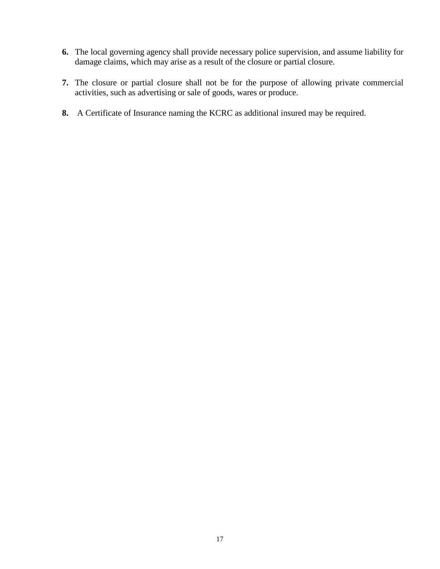- **6.** The local governing agency shall provide necessary police supervision, and assume liability for damage claims, which may arise as a result of the closure or partial closure.
- **7.** The closure or partial closure shall not be for the purpose of allowing private commercial activities, such as advertising or sale of goods, wares or produce.
- **8.** A Certificate of Insurance naming the KCRC as additional insured may be required.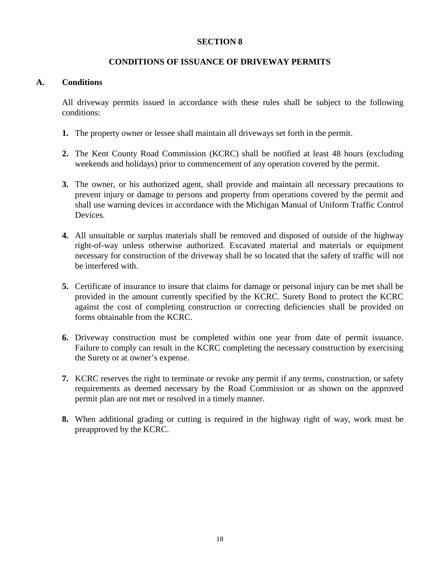#### **CONDITIONS OF ISSUANCE OF DRIVEWAY PERMITS**

#### **A. Conditions**

All driveway permits issued in accordance with these rules shall be subject to the following conditions:

- **1.** The property owner or lessee shall maintain all driveways set forth in the permit.
- **2.** The Kent County Road Commission (KCRC) shall be notified at least 48 hours (excluding weekends and holidays) prior to commencement of any operation covered by the permit.
- **3.** The owner, or his authorized agent, shall provide and maintain all necessary precautions to prevent injury or damage to persons and property from operations covered by the permit and shall use warning devices in accordance with the Michigan Manual of Uniform Traffic Control Devices.
- **4.** All unsuitable or surplus materials shall be removed and disposed of outside of the highway right-of-way unless otherwise authorized. Excavated material and materials or equipment necessary for construction of the driveway shall be so located that the safety of traffic will not be interfered with.
- **5.** Certificate of insurance to insure that claims for damage or personal injury can be met shall be provided in the amount currently specified by the KCRC. Surety Bond to protect the KCRC against the cost of completing construction or correcting deficiencies shall be provided on forms obtainable from the KCRC.
- **6.** Driveway construction must be completed within one year from date of permit issuance. Failure to comply can result in the KCRC completing the necessary construction by exercising the Surety or at owner's expense.
- **7.** KCRC reserves the right to terminate or revoke any permit if any terms, construction, or safety requirements as deemed necessary by the Road Commission or as shown on the approved permit plan are not met or resolved in a timely manner.
- **8.** When additional grading or cutting is required in the highway right of way, work must be preapproved by the KCRC.